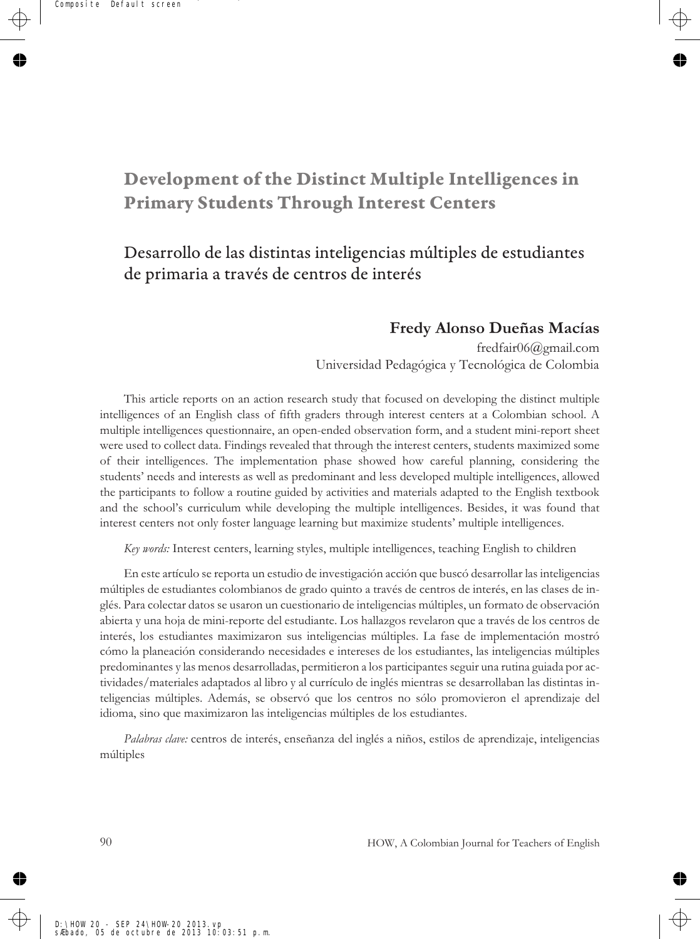# **Development of the Distinct Multiple Intelligences in Primary Students Through Interest Centers**

# Desarrollo de las distintas inteligencias múltiples de estudiantes de primaria a través de centros de interés

## **Fredy Alonso Dueñas Macías**

fredfair06@gmail.com Universidad Pedagógica y Tecnológica de Colombia

This article reports on an action research study that focused on developing the distinct multiple intelligences of an English class of fifth graders through interest centers at a Colombian school. A multiple intelligences questionnaire, an open-ended observation form, and a student mini-report sheet were used to collect data. Findings revealed that through the interest centers, students maximized some of their intelligences. The implementation phase showed how careful planning, considering the students' needs and interests as well as predominant and less developed multiple intelligences, allowed the participants to follow a routine guided by activities and materials adapted to the English textbook and the school's curriculum while developing the multiple intelligences. Besides, it was found that interest centers not only foster language learning but maximize students' multiple intelligences.

*Key words:* Interest centers, learning styles, multiple intelligences, teaching English to children

En este artículo se reporta un estudio de investigación acción que buscó desarrollar las inteligencias múltiples de estudiantes colombianos de grado quinto a través de centros de interés, en las clases de inglés. Para colectar datos se usaron un cuestionario de inteligencias múltiples, un formato de observación abierta y una hoja de mini-reporte del estudiante. Los hallazgos revelaron que a través de los centros de interés, los estudiantes maximizaron sus inteligencias múltiples. La fase de implementación mostró cómo la planeación considerando necesidades e intereses de los estudiantes, las inteligencias múltiples predominantes y las menos desarrolladas, permitieron a los participantes seguir una rutina guiada por actividades/materiales adaptados al libro y al currículo de inglés mientras se desarrollaban las distintas inteligencias múltiples. Además, se observó que los centros no sólo promovieron el aprendizaje del idioma, sino que maximizaron las inteligencias múltiples de los estudiantes.

*Palabras clave:* centros de interés, enseñanza del inglés a niños, estilos de aprendizaje, inteligencias múltiples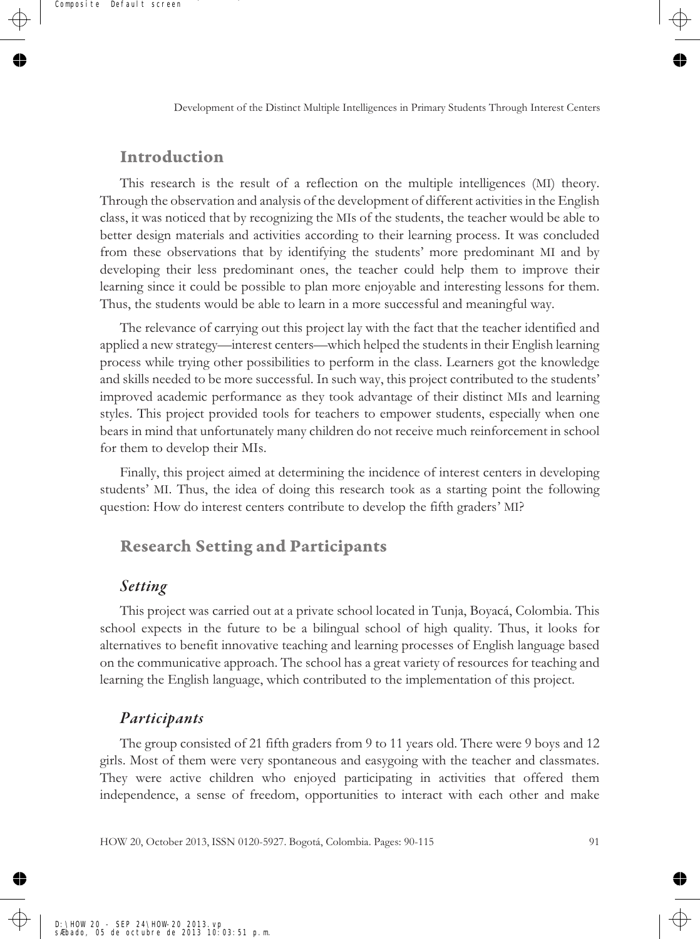### **Introduction**

This research is the result of a reflection on the multiple intelligences (MI) theory. Through the observation and analysis of the development of different activities in the English class, it was noticed that by recognizing the MIs of the students, the teacher would be able to better design materials and activities according to their learning process. It was concluded from these observations that by identifying the students' more predominant MI and by developing their less predominant ones, the teacher could help them to improve their learning since it could be possible to plan more enjoyable and interesting lessons for them. Thus, the students would be able to learn in a more successful and meaningful way.

The relevance of carrying out this project lay with the fact that the teacher identified and applied a new strategy—interest centers—which helped the students in their English learning process while trying other possibilities to perform in the class. Learners got the knowledge and skills needed to be more successful. In such way, this project contributed to the students' improved academic performance as they took advantage of their distinct MIs and learning styles. This project provided tools for teachers to empower students, especially when one bears in mind that unfortunately many children do not receive much reinforcement in school for them to develop their MIs.

Finally, this project aimed at determining the incidence of interest centers in developing students' MI. Thus, the idea of doing this research took as a starting point the following question: How do interest centers contribute to develop the fifth graders' MI?

## **Research Setting and Participants**

### *Setting*

This project was carried out at a private school located in Tunja, Boyacá, Colombia. This school expects in the future to be a bilingual school of high quality. Thus, it looks for alternatives to benefit innovative teaching and learning processes of English language based on the communicative approach. The school has a great variety of resources for teaching and learning the English language, which contributed to the implementation of this project.

#### *Participants*

The group consisted of 21 fifth graders from 9 to 11 years old. There were 9 boys and 12 girls. Most of them were very spontaneous and easygoing with the teacher and classmates. They were active children who enjoyed participating in activities that offered them independence, a sense of freedom, opportunities to interact with each other and make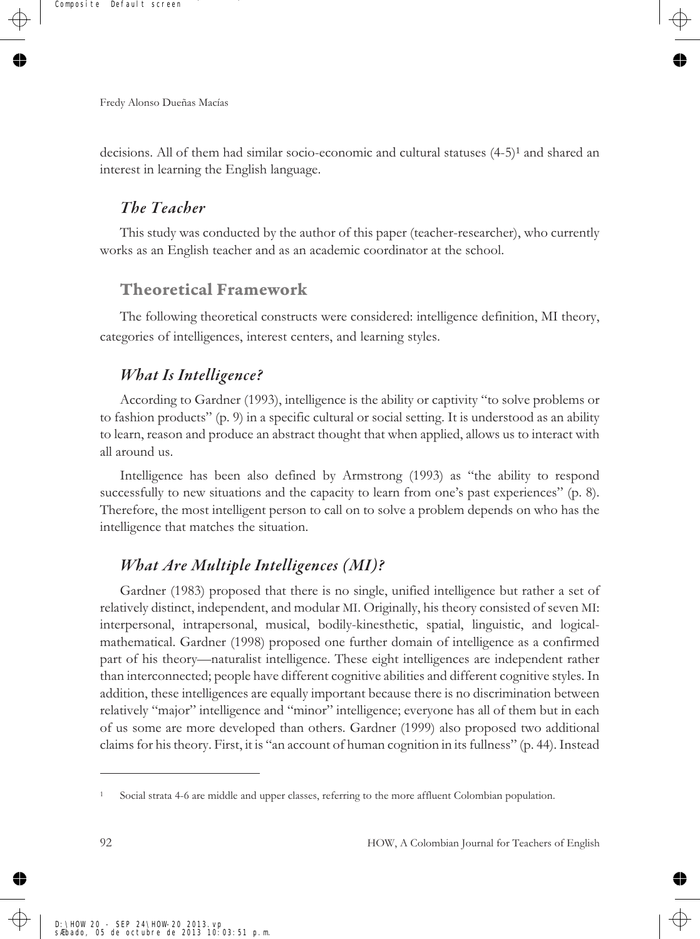decisions. All of them had similar socio-economic and cultural statuses (4-5)<sup>1</sup> and shared an interest in learning the English language.

### *The Teacher*

This study was conducted by the author of this paper (teacher-researcher), who currently works as an English teacher and as an academic coordinator at the school.

## **Theoretical Framework**

The following theoretical constructs were considered: intelligence definition, MI theory, categories of intelligences, interest centers, and learning styles.

## *What Is Intelligence?*

According to Gardner (1993), intelligence is the ability or captivity "to solve problems or to fashion products" (p. 9) in a specific cultural or social setting. It is understood as an ability to learn, reason and produce an abstract thought that when applied, allows us to interact with all around us.

Intelligence has been also defined by Armstrong (1993) as "the ability to respond successfully to new situations and the capacity to learn from one's past experiences" (p. 8). Therefore, the most intelligent person to call on to solve a problem depends on who has the intelligence that matches the situation.

## *What Are Multiple Intelligences (MI)?*

Gardner (1983) proposed that there is no single, unified intelligence but rather a set of relatively distinct, independent, and modular MI. Originally, his theory consisted of seven MI: interpersonal, intrapersonal, musical, bodily-kinesthetic, spatial, linguistic, and logicalmathematical. Gardner (1998) proposed one further domain of intelligence as a confirmed part of his theory—naturalist intelligence. These eight intelligences are independent rather than interconnected; people have different cognitive abilities and different cognitive styles. In addition, these intelligences are equally important because there is no discrimination between relatively "major" intelligence and "minor" intelligence; everyone has all of them but in each of us some are more developed than others. Gardner (1999) also proposed two additional claims for his theory. First, it is "an account of human cognition in its fullness" (p. 44). Instead

<sup>1</sup> Social strata 4-6 are middle and upper classes, referring to the more affluent Colombian population.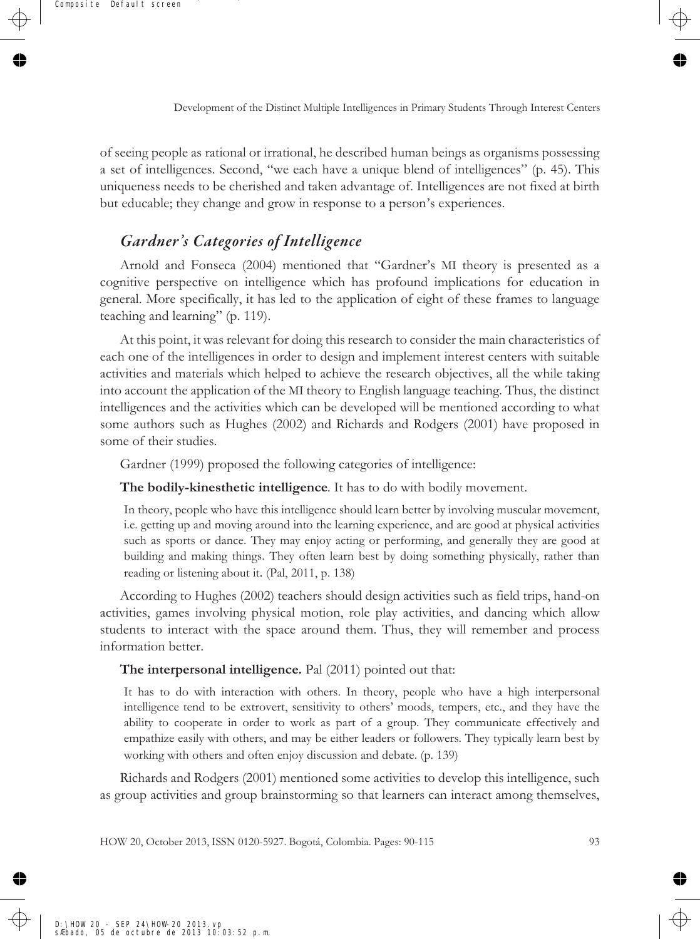of seeing people as rational or irrational, he described human beings as organisms possessing a set of intelligences. Second, "we each have a unique blend of intelligences" (p. 45). This uniqueness needs to be cherished and taken advantage of. Intelligences are not fixed at birth but educable; they change and grow in response to a person's experiences.

## *Gardner's Categories of Intelligence*

Arnold and Fonseca (2004) mentioned that "Gardner's MI theory is presented as a cognitive perspective on intelligence which has profound implications for education in general. More specifically, it has led to the application of eight of these frames to language teaching and learning" (p. 119).

At this point, it was relevant for doing this research to consider the main characteristics of each one of the intelligences in order to design and implement interest centers with suitable activities and materials which helped to achieve the research objectives, all the while taking into account the application of the MI theory to English language teaching. Thus, the distinct intelligences and the activities which can be developed will be mentioned according to what some authors such as Hughes (2002) and Richards and Rodgers (2001) have proposed in some of their studies.

Gardner (1999) proposed the following categories of intelligence:

**The bodily-kinesthetic intelligence**. It has to do with bodily movement.

In theory, people who have this intelligence should learn better by involving muscular movement, i.e. getting up and moving around into the learning experience, and are good at physical activities such as sports or dance. They may enjoy acting or performing, and generally they are good at building and making things. They often learn best by doing something physically, rather than reading or listening about it. (Pal, 2011, p. 138)

According to Hughes (2002) teachers should design activities such as field trips, hand-on activities, games involving physical motion, role play activities, and dancing which allow students to interact with the space around them. Thus, they will remember and process information better.

#### **The interpersonal intelligence.** Pal (2011) pointed out that:

It has to do with interaction with others. In theory, people who have a high interpersonal intelligence tend to be extrovert, sensitivity to others' moods, tempers, etc., and they have the ability to cooperate in order to work as part of a group. They communicate effectively and empathize easily with others, and may be either leaders or followers. They typically learn best by working with others and often enjoy discussion and debate. (p. 139)

Richards and Rodgers (2001) mentioned some activities to develop this intelligence, such as group activities and group brainstorming so that learners can interact among themselves,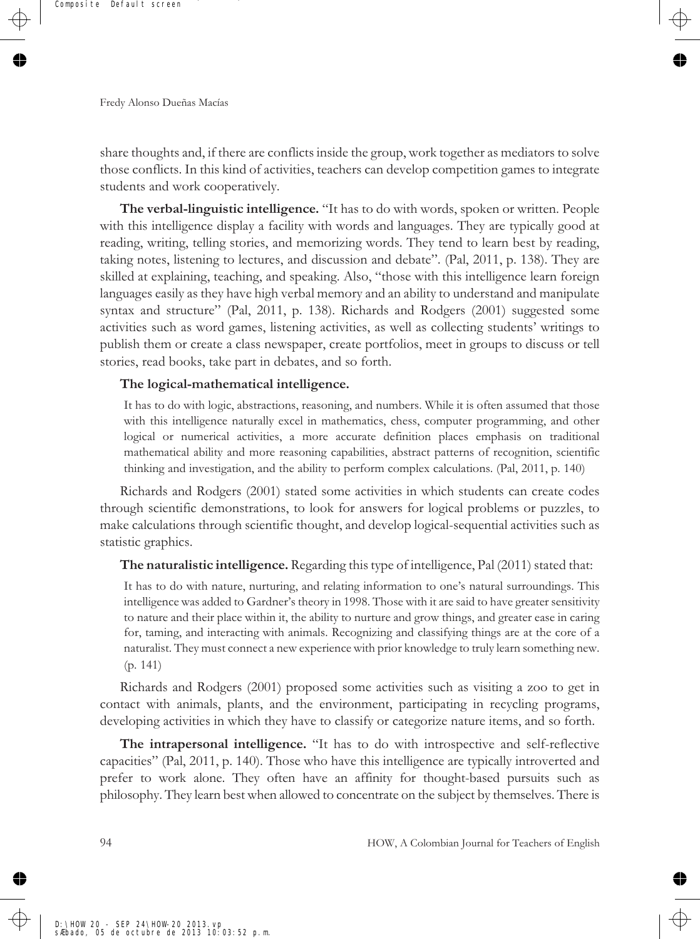share thoughts and, if there are conflicts inside the group, work together as mediators to solve those conflicts. In this kind of activities, teachers can develop competition games to integrate students and work cooperatively.

**The verbal-linguistic intelligence.** "It has to do with words, spoken or written. People with this intelligence display a facility with words and languages. They are typically good at reading, writing, telling stories, and memorizing words. They tend to learn best by reading, taking notes, listening to lectures, and discussion and debate". (Pal, 2011, p. 138). They are skilled at explaining, teaching, and speaking. Also, "those with this intelligence learn foreign languages easily as they have high verbal memory and an ability to understand and manipulate syntax and structure" (Pal, 2011, p. 138). Richards and Rodgers (2001) suggested some activities such as word games, listening activities, as well as collecting students' writings to publish them or create a class newspaper, create portfolios, meet in groups to discuss or tell stories, read books, take part in debates, and so forth.

#### **The logical-mathematical intelligence.**

It has to do with logic, abstractions, reasoning, and numbers. While it is often assumed that those with this intelligence naturally excel in mathematics, chess, computer programming, and other logical or numerical activities, a more accurate definition places emphasis on traditional mathematical ability and more reasoning capabilities, abstract patterns of recognition, scientific thinking and investigation, and the ability to perform complex calculations. (Pal, 2011, p. 140)

Richards and Rodgers (2001) stated some activities in which students can create codes through scientific demonstrations, to look for answers for logical problems or puzzles, to make calculations through scientific thought, and develop logical-sequential activities such as statistic graphics.

**The naturalistic intelligence.** Regarding this type of intelligence, Pal (2011) stated that:

It has to do with nature, nurturing, and relating information to one's natural surroundings. This intelligence was added to Gardner's theory in 1998. Those with it are said to have greater sensitivity to nature and their place within it, the ability to nurture and grow things, and greater ease in caring for, taming, and interacting with animals. Recognizing and classifying things are at the core of a naturalist. They must connect a new experience with prior knowledge to truly learn something new. (p. 141)

Richards and Rodgers (2001) proposed some activities such as visiting a zoo to get in contact with animals, plants, and the environment, participating in recycling programs, developing activities in which they have to classify or categorize nature items, and so forth.

**The intrapersonal intelligence.** "It has to do with introspective and self-reflective capacities" (Pal, 2011, p. 140). Those who have this intelligence are typically introverted and prefer to work alone. They often have an affinity for thought-based pursuits such as philosophy. They learn best when allowed to concentrate on the subject by themselves. There is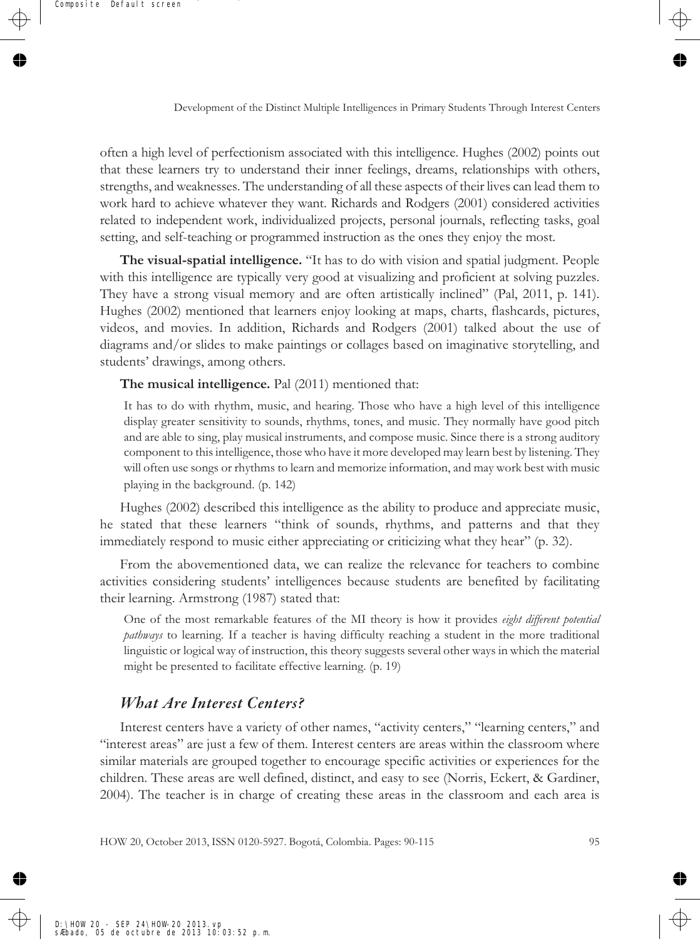often a high level of perfectionism associated with this intelligence. Hughes (2002) points out that these learners try to understand their inner feelings, dreams, relationships with others, strengths, and weaknesses. The understanding of all these aspects of their lives can lead them to work hard to achieve whatever they want. Richards and Rodgers (2001) considered activities related to independent work, individualized projects, personal journals, reflecting tasks, goal setting, and self-teaching or programmed instruction as the ones they enjoy the most.

**The visual-spatial intelligence.** "It has to do with vision and spatial judgment. People with this intelligence are typically very good at visualizing and proficient at solving puzzles. They have a strong visual memory and are often artistically inclined" (Pal, 2011, p. 141). Hughes (2002) mentioned that learners enjoy looking at maps, charts, flashcards, pictures, videos, and movies. In addition, Richards and Rodgers (2001) talked about the use of diagrams and/or slides to make paintings or collages based on imaginative storytelling, and students' drawings, among others.

**The musical intelligence.** Pal (2011) mentioned that:

It has to do with rhythm, music, and hearing. Those who have a high level of this intelligence display greater sensitivity to sounds, rhythms, tones, and music. They normally have good pitch and are able to sing, play musical instruments, and compose music. Since there is a strong auditory component to this intelligence, those who have it more developed may learn best by listening. They will often use songs or rhythms to learn and memorize information, and may work best with music playing in the background. (p. 142)

Hughes (2002) described this intelligence as the ability to produce and appreciate music, he stated that these learners "think of sounds, rhythms, and patterns and that they immediately respond to music either appreciating or criticizing what they hear" (p. 32).

From the abovementioned data, we can realize the relevance for teachers to combine activities considering students' intelligences because students are benefited by facilitating their learning. Armstrong (1987) stated that:

One of the most remarkable features of the MI theory is how it provides *eight different potential pathways* to learning. If a teacher is having difficulty reaching a student in the more traditional linguistic or logical way of instruction, this theory suggests several other ways in which the material might be presented to facilitate effective learning. (p. 19)

#### *What Are Interest Centers?*

Interest centers have a variety of other names, "activity centers," "learning centers," and "interest areas" are just a few of them. Interest centers are areas within the classroom where similar materials are grouped together to encourage specific activities or experiences for the children. These areas are well defined, distinct, and easy to see (Norris, Eckert, & Gardiner, 2004). The teacher is in charge of creating these areas in the classroom and each area is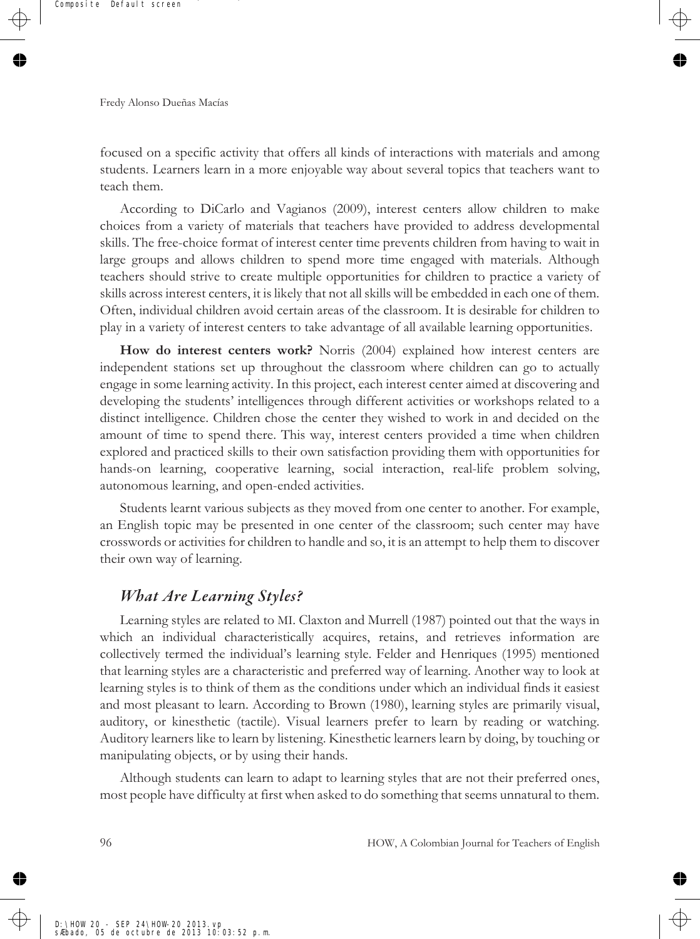focused on a specific activity that offers all kinds of interactions with materials and among students. Learners learn in a more enjoyable way about several topics that teachers want to teach them.

According to DiCarlo and Vagianos (2009), interest centers allow children to make choices from a variety of materials that teachers have provided to address developmental skills. The free-choice format of interest center time prevents children from having to wait in large groups and allows children to spend more time engaged with materials. Although teachers should strive to create multiple opportunities for children to practice a variety of skills across interest centers, it is likely that not all skills will be embedded in each one of them. Often, individual children avoid certain areas of the classroom. It is desirable for children to play in a variety of interest centers to take advantage of all available learning opportunities.

**How do interest centers work?** Norris (2004) explained how interest centers are independent stations set up throughout the classroom where children can go to actually engage in some learning activity. In this project, each interest center aimed at discovering and developing the students' intelligences through different activities or workshops related to a distinct intelligence. Children chose the center they wished to work in and decided on the amount of time to spend there. This way, interest centers provided a time when children explored and practiced skills to their own satisfaction providing them with opportunities for hands-on learning, cooperative learning, social interaction, real-life problem solving, autonomous learning, and open-ended activities.

Students learnt various subjects as they moved from one center to another. For example, an English topic may be presented in one center of the classroom; such center may have crosswords or activities for children to handle and so, it is an attempt to help them to discover their own way of learning.

## *What Are Learning Styles?*

Learning styles are related to MI. Claxton and Murrell (1987) pointed out that the ways in which an individual characteristically acquires, retains, and retrieves information are collectively termed the individual's learning style. Felder and Henriques (1995) mentioned that learning styles are a characteristic and preferred way of learning. Another way to look at learning styles is to think of them as the conditions under which an individual finds it easiest and most pleasant to learn. According to Brown (1980), learning styles are primarily visual, auditory, or kinesthetic (tactile). Visual learners prefer to learn by reading or watching. Auditory learners like to learn by listening. Kinesthetic learners learn by doing, by touching or manipulating objects, or by using their hands.

Although students can learn to adapt to learning styles that are not their preferred ones, most people have difficulty at first when asked to do something that seems unnatural to them.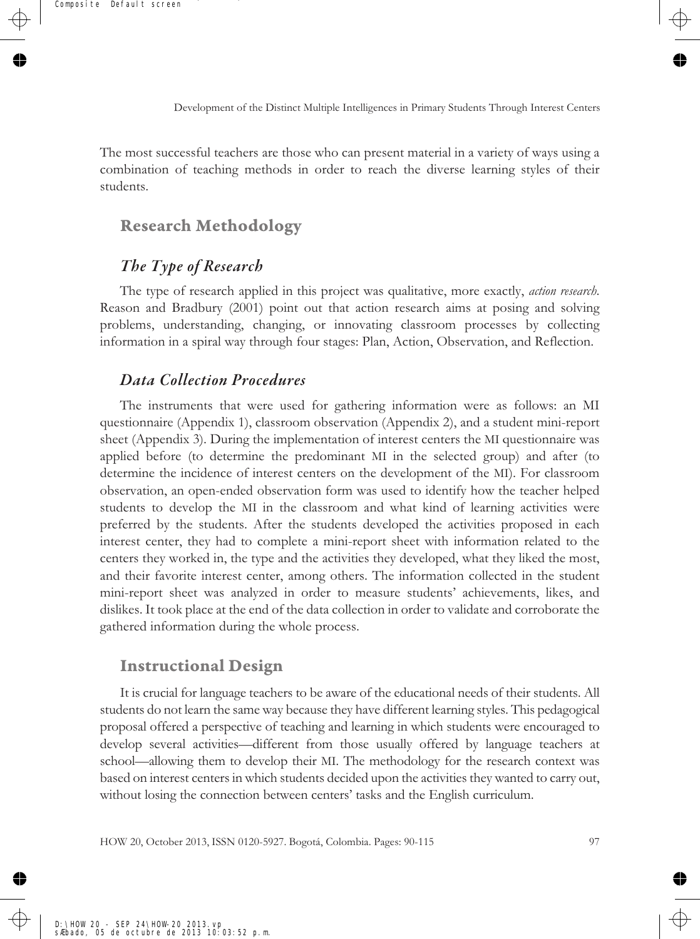The most successful teachers are those who can present material in a variety of ways using a combination of teaching methods in order to reach the diverse learning styles of their students.

#### **Research Methodology**

## *The Type of Research*

The type of research applied in this project was qualitative, more exactly, *action research*. Reason and Bradbury (2001) point out that action research aims at posing and solving problems, understanding, changing, or innovating classroom processes by collecting information in a spiral way through four stages: Plan, Action, Observation, and Reflection.

#### *Data Collection Procedures*

The instruments that were used for gathering information were as follows: an MI questionnaire (Appendix 1), classroom observation (Appendix 2), and a student mini-report sheet (Appendix 3). During the implementation of interest centers the MI questionnaire was applied before (to determine the predominant MI in the selected group) and after (to determine the incidence of interest centers on the development of the MI). For classroom observation, an open-ended observation form was used to identify how the teacher helped students to develop the MI in the classroom and what kind of learning activities were preferred by the students. After the students developed the activities proposed in each interest center, they had to complete a mini-report sheet with information related to the centers they worked in, the type and the activities they developed, what they liked the most, and their favorite interest center, among others. The information collected in the student mini-report sheet was analyzed in order to measure students' achievements, likes, and dislikes. It took place at the end of the data collection in order to validate and corroborate the gathered information during the whole process.

#### **Instructional Design**

It is crucial for language teachers to be aware of the educational needs of their students. All students do not learn the same way because they have different learning styles. This pedagogical proposal offered a perspective of teaching and learning in which students were encouraged to develop several activities—different from those usually offered by language teachers at school—allowing them to develop their MI. The methodology for the research context was based on interest centers in which students decided upon the activities they wanted to carry out, without losing the connection between centers' tasks and the English curriculum.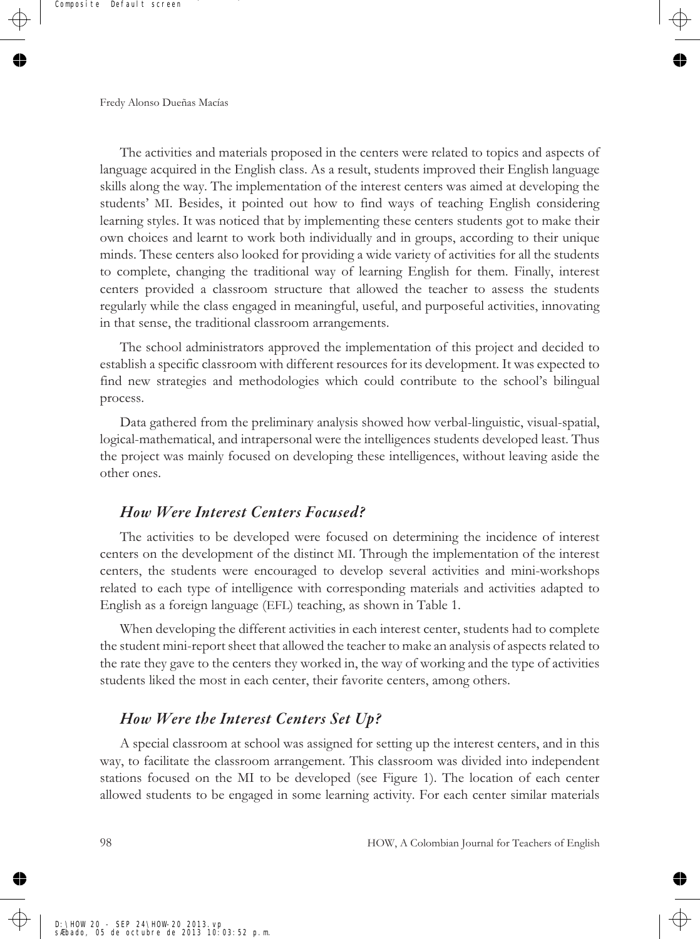The activities and materials proposed in the centers were related to topics and aspects of language acquired in the English class. As a result, students improved their English language skills along the way. The implementation of the interest centers was aimed at developing the students' MI. Besides, it pointed out how to find ways of teaching English considering learning styles. It was noticed that by implementing these centers students got to make their own choices and learnt to work both individually and in groups, according to their unique minds. These centers also looked for providing a wide variety of activities for all the students to complete, changing the traditional way of learning English for them. Finally, interest centers provided a classroom structure that allowed the teacher to assess the students regularly while the class engaged in meaningful, useful, and purposeful activities, innovating in that sense, the traditional classroom arrangements.

The school administrators approved the implementation of this project and decided to establish a specific classroom with different resources for its development. It was expected to find new strategies and methodologies which could contribute to the school's bilingual process.

Data gathered from the preliminary analysis showed how verbal-linguistic, visual-spatial, logical-mathematical, and intrapersonal were the intelligences students developed least. Thus the project was mainly focused on developing these intelligences, without leaving aside the other ones.

#### *How Were Interest Centers Focused?*

The activities to be developed were focused on determining the incidence of interest centers on the development of the distinct MI. Through the implementation of the interest centers, the students were encouraged to develop several activities and mini-workshops related to each type of intelligence with corresponding materials and activities adapted to English as a foreign language (EFL) teaching, as shown in Table 1.

When developing the different activities in each interest center, students had to complete the student mini-report sheet that allowed the teacher to make an analysis of aspects related to the rate they gave to the centers they worked in, the way of working and the type of activities students liked the most in each center, their favorite centers, among others.

#### *How Were the Interest Centers Set Up?*

A special classroom at school was assigned for setting up the interest centers, and in this way, to facilitate the classroom arrangement. This classroom was divided into independent stations focused on the MI to be developed (see Figure 1). The location of each center allowed students to be engaged in some learning activity. For each center similar materials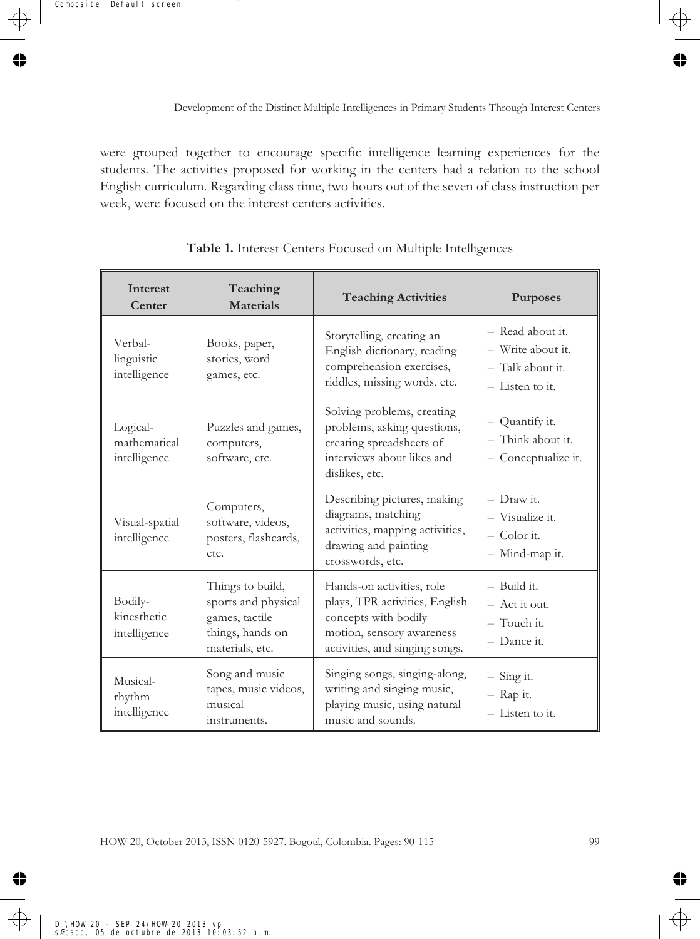were grouped together to encourage specific intelligence learning experiences for the students. The activities proposed for working in the centers had a relation to the school English curriculum. Regarding class time, two hours out of the seven of class instruction per week, were focused on the interest centers activities.

| <b>Interest</b><br>Center                | Teaching<br><b>Materials</b>                                                                                                                                                                | <b>Teaching Activities</b>                                                                                                                         | Purposes                                                                     |
|------------------------------------------|---------------------------------------------------------------------------------------------------------------------------------------------------------------------------------------------|----------------------------------------------------------------------------------------------------------------------------------------------------|------------------------------------------------------------------------------|
| Verbal-<br>linguistic<br>intelligence    | Books, paper,<br>stories, word<br>games, etc.                                                                                                                                               | Storytelling, creating an<br>English dictionary, reading<br>comprehension exercises,<br>riddles, missing words, etc.                               | - Read about it.<br>- Write about it.<br>- Talk about it.<br>- Listen to it. |
| Logical-<br>mathematical<br>intelligence | Solving problems, creating<br>problems, asking questions,<br>Puzzles and games,<br>creating spreadsheets of<br>computers,<br>interviews about likes and<br>software, etc.<br>dislikes, etc. |                                                                                                                                                    | - Quantify it.<br>- Think about it.<br>- Conceptualize it.                   |
| Visual-spatial<br>intelligence           | Computers,<br>software, videos,<br>posters, flashcards,<br>etc.                                                                                                                             | Describing pictures, making<br>diagrams, matching<br>activities, mapping activities,<br>drawing and painting<br>crosswords, etc.                   | - Draw it.<br>- Visualize it.<br>$-$ Color it.<br>- Mind-map it.             |
| Bodily-<br>kinesthetic<br>intelligence   | Things to build,<br>sports and physical<br>games, tactile<br>things, hands on<br>materials, etc.                                                                                            | Hands-on activities, role<br>plays, TPR activities, English<br>concepts with bodily<br>motion, sensory awareness<br>activities, and singing songs. | $-$ Build it.<br>$-$ Act it out.<br>$-$ Touch it.<br>- Dance it.             |
| Musical-<br>rhythm<br>intelligence       | Song and music<br>tapes, music videos,<br>musical<br>instruments.                                                                                                                           | Singing songs, singing-along,<br>writing and singing music,<br>playing music, using natural<br>music and sounds.                                   | $-$ Sing it.<br>$-$ Rap it.<br>- Listen to it.                               |

**Table 1.** Interest Centers Focused on Multiple Intelligences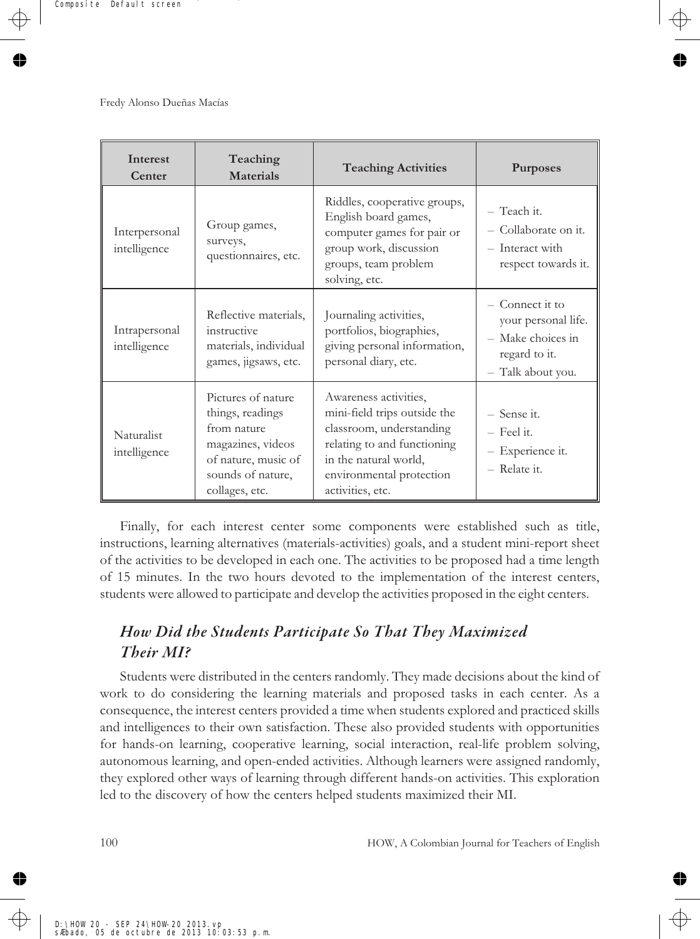| Interest<br>Center            | Teaching<br>Materials                                                                                                                    | <b>Teaching Activities</b>                                                                                                                                                                | Purposes                                                                                          |
|-------------------------------|------------------------------------------------------------------------------------------------------------------------------------------|-------------------------------------------------------------------------------------------------------------------------------------------------------------------------------------------|---------------------------------------------------------------------------------------------------|
| Interpersonal<br>intelligence | Group games,<br>surveys,<br>questionnaires, etc.                                                                                         | Riddles, cooperative groups,<br>English board games,<br>computer games for pair or<br>group work, discussion<br>groups, team problem<br>solving, etc.                                     | - Teach it.<br>- Collaborate on it.<br>- Interact with<br>respect towards it.                     |
| Intrapersonal<br>intelligence | Reflective materials,<br>instructive<br>materials, individual<br>games, jigsaws, etc.                                                    | Journaling activities,<br>portfolios, biographies,<br>giving personal information,<br>personal diary, etc.                                                                                | - Connect it to<br>your personal life.<br>- Make choices in<br>regard to it.<br>- Talk about you. |
| Naturalist<br>intelligence    | Pictures of nature<br>things, readings<br>from nature<br>magazines, videos<br>of nature, music of<br>sounds of nature,<br>collages, etc. | Awareness activities,<br>mini-field trips outside the<br>classroom, understanding<br>relating to and functioning<br>in the natural world,<br>environmental protection<br>activities, etc. | - Sense it.<br>$-$ Feel it.<br>- Experience it.<br>- Relate it.                                   |

Finally, for each interest center some components were established such as title, instructions, learning alternatives (materials-activities) goals, and a student mini-report sheet of the activities to be developed in each one. The activities to be proposed had a time length of 15 minutes. In the two hours devoted to the implementation of the interest centers, students were allowed to participate and develop the activities proposed in the eight centers.

# *How Did the Students Participate So That They Maximized Their MI?*

Students were distributed in the centers randomly. They made decisions about the kind of work to do considering the learning materials and proposed tasks in each center. As a consequence, the interest centers provided a time when students explored and practiced skills and intelligences to their own satisfaction. These also provided students with opportunities for hands-on learning, cooperative learning, social interaction, real-life problem solving, autonomous learning, and open-ended activities. Although learners were assigned randomly, they explored other ways of learning through different hands-on activities. This exploration led to the discovery of how the centers helped students maximized their MI.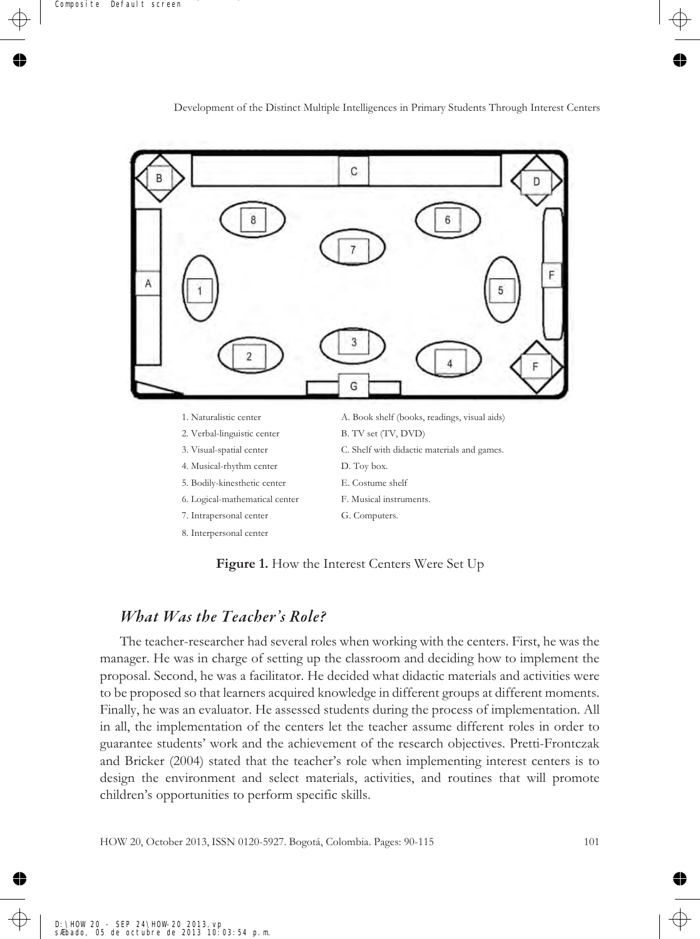

**Figure 1.** How the Interest Centers Were Set Up

#### *What Was the Teacher's Role?*

The teacher-researcher had several roles when working with the centers. First, he was the manager. He was in charge of setting up the classroom and deciding how to implement the proposal. Second, he was a facilitator. He decided what didactic materials and activities were to be proposed so that learners acquired knowledge in different groups at different moments. Finally, he was an evaluator. He assessed students during the process of implementation. All in all, the implementation of the centers let the teacher assume different roles in order to guarantee students' work and the achievement of the research objectives. Pretti-Frontczak and Bricker (2004) stated that the teacher's role when implementing interest centers is to design the environment and select materials, activities, and routines that will promote children's opportunities to perform specific skills.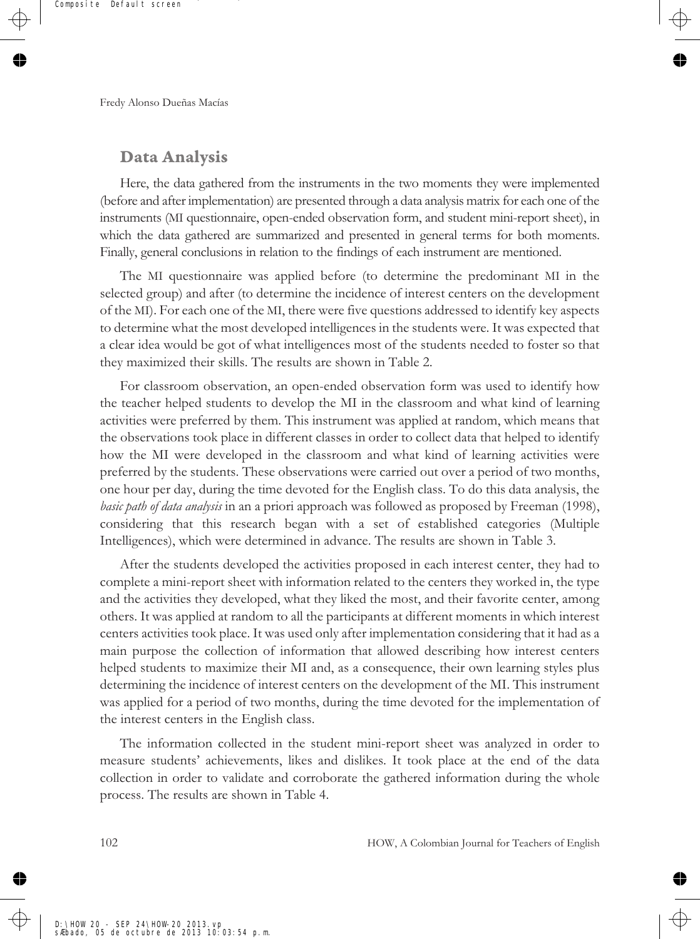## **Data Analysis**

Here, the data gathered from the instruments in the two moments they were implemented (before and after implementation) are presented through a data analysis matrix for each one of the instruments (MI questionnaire, open-ended observation form, and student mini-report sheet), in which the data gathered are summarized and presented in general terms for both moments. Finally, general conclusions in relation to the findings of each instrument are mentioned.

The MI questionnaire was applied before (to determine the predominant MI in the selected group) and after (to determine the incidence of interest centers on the development of the MI). For each one of the MI, there were five questions addressed to identify key aspects to determine what the most developed intelligences in the students were. It was expected that a clear idea would be got of what intelligences most of the students needed to foster so that they maximized their skills. The results are shown in Table 2.

For classroom observation, an open-ended observation form was used to identify how the teacher helped students to develop the MI in the classroom and what kind of learning activities were preferred by them. This instrument was applied at random, which means that the observations took place in different classes in order to collect data that helped to identify how the MI were developed in the classroom and what kind of learning activities were preferred by the students. These observations were carried out over a period of two months, one hour per day, during the time devoted for the English class. To do this data analysis, the *basic path of data analysis* in an a priori approach was followed as proposed by Freeman (1998), considering that this research began with a set of established categories (Multiple Intelligences), which were determined in advance. The results are shown in Table 3.

After the students developed the activities proposed in each interest center, they had to complete a mini-report sheet with information related to the centers they worked in, the type and the activities they developed, what they liked the most, and their favorite center, among others. It was applied at random to all the participants at different moments in which interest centers activities took place. It was used only after implementation considering that it had as a main purpose the collection of information that allowed describing how interest centers helped students to maximize their MI and, as a consequence, their own learning styles plus determining the incidence of interest centers on the development of the MI. This instrument was applied for a period of two months, during the time devoted for the implementation of the interest centers in the English class.

The information collected in the student mini-report sheet was analyzed in order to measure students' achievements, likes and dislikes. It took place at the end of the data collection in order to validate and corroborate the gathered information during the whole process. The results are shown in Table 4.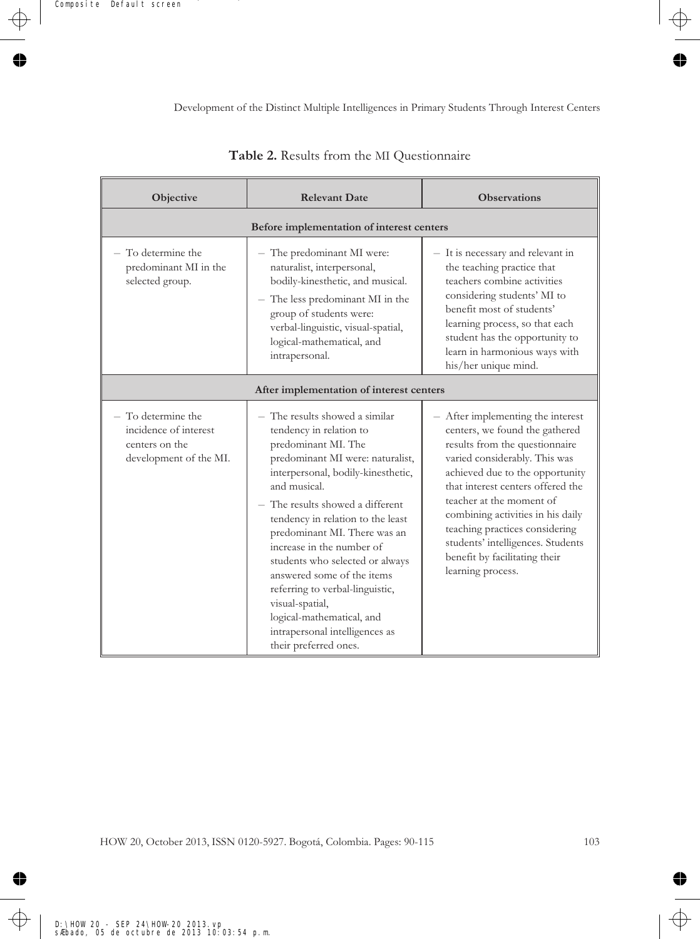| Objective                                                                                                         | <b>Relevant Date</b>                                                                                                                                                                                                                                                                                                                                                                                                                                                                                                            | <b>Observations</b>                                                                                                                                                                                                                                                                                                                                                                                          |  |  |  |
|-------------------------------------------------------------------------------------------------------------------|---------------------------------------------------------------------------------------------------------------------------------------------------------------------------------------------------------------------------------------------------------------------------------------------------------------------------------------------------------------------------------------------------------------------------------------------------------------------------------------------------------------------------------|--------------------------------------------------------------------------------------------------------------------------------------------------------------------------------------------------------------------------------------------------------------------------------------------------------------------------------------------------------------------------------------------------------------|--|--|--|
| Before implementation of interest centers                                                                         |                                                                                                                                                                                                                                                                                                                                                                                                                                                                                                                                 |                                                                                                                                                                                                                                                                                                                                                                                                              |  |  |  |
| To determine the<br>predominant MI in the<br>selected group.                                                      | - The predominant MI were:<br>naturalist, interpersonal,<br>bodily-kinesthetic, and musical.<br>- The less predominant MI in the<br>group of students were:<br>verbal-linguistic, visual-spatial,<br>logical-mathematical, and<br>intrapersonal.                                                                                                                                                                                                                                                                                | - It is necessary and relevant in<br>the teaching practice that<br>teachers combine activities<br>considering students' MI to<br>benefit most of students'<br>learning process, so that each<br>student has the opportunity to<br>learn in harmonious ways with<br>his/her unique mind.                                                                                                                      |  |  |  |
|                                                                                                                   | After implementation of interest centers                                                                                                                                                                                                                                                                                                                                                                                                                                                                                        |                                                                                                                                                                                                                                                                                                                                                                                                              |  |  |  |
| To determine the<br>$\overline{\phantom{0}}$<br>incidence of interest<br>centers on the<br>development of the MI. | - The results showed a similar<br>tendency in relation to<br>predominant MI. The<br>predominant MI were: naturalist,<br>interpersonal, bodily-kinesthetic,<br>and musical.<br>- The results showed a different<br>tendency in relation to the least<br>predominant MI. There was an<br>increase in the number of<br>students who selected or always<br>answered some of the items<br>referring to verbal-linguistic,<br>visual-spatial,<br>logical-mathematical, and<br>intrapersonal intelligences as<br>their preferred ones. | - After implementing the interest<br>centers, we found the gathered<br>results from the questionnaire<br>varied considerably. This was<br>achieved due to the opportunity<br>that interest centers offered the<br>teacher at the moment of<br>combining activities in his daily<br>teaching practices considering<br>students' intelligences. Students<br>benefit by facilitating their<br>learning process. |  |  |  |

## **Table 2.** Results from the MI Questionnaire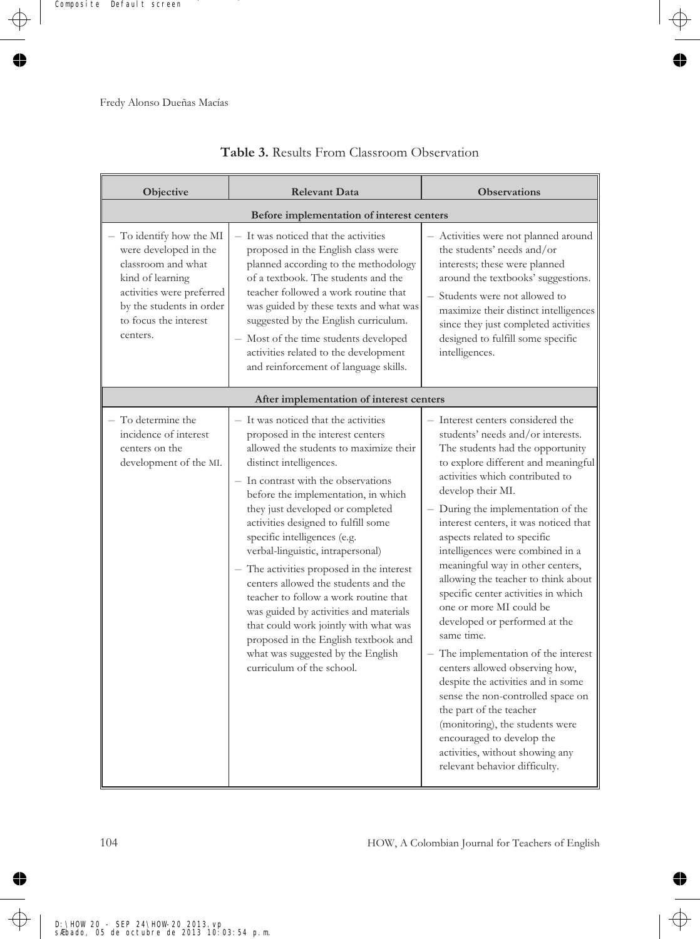| Objective                                                                                                                                                                               | <b>Relevant Data</b>                                                                                                                                                                                                                                                                                                                                                                                                                                                                                                                                                                                                                                                                                   | <b>Observations</b>                                                                                                                                                                                                                                                                                                                                                                                                                                                                                                                                                                                                                                                                                                                                                                                                                                                       |  |  |  |  |
|-----------------------------------------------------------------------------------------------------------------------------------------------------------------------------------------|--------------------------------------------------------------------------------------------------------------------------------------------------------------------------------------------------------------------------------------------------------------------------------------------------------------------------------------------------------------------------------------------------------------------------------------------------------------------------------------------------------------------------------------------------------------------------------------------------------------------------------------------------------------------------------------------------------|---------------------------------------------------------------------------------------------------------------------------------------------------------------------------------------------------------------------------------------------------------------------------------------------------------------------------------------------------------------------------------------------------------------------------------------------------------------------------------------------------------------------------------------------------------------------------------------------------------------------------------------------------------------------------------------------------------------------------------------------------------------------------------------------------------------------------------------------------------------------------|--|--|--|--|
|                                                                                                                                                                                         | Before implementation of interest centers                                                                                                                                                                                                                                                                                                                                                                                                                                                                                                                                                                                                                                                              |                                                                                                                                                                                                                                                                                                                                                                                                                                                                                                                                                                                                                                                                                                                                                                                                                                                                           |  |  |  |  |
| To identify how the MI<br>were developed in the<br>classroom and what<br>kind of learning<br>activities were preferred<br>by the students in order<br>to focus the interest<br>centers. | - It was noticed that the activities<br>proposed in the English class were<br>planned according to the methodology<br>of a textbook. The students and the<br>teacher followed a work routine that<br>was guided by these texts and what was<br>suggested by the English curriculum.<br>- Most of the time students developed<br>activities related to the development<br>and reinforcement of language skills.                                                                                                                                                                                                                                                                                         | - Activities were not planned around<br>the students' needs and/or<br>interests; these were planned<br>around the textbooks' suggestions.<br>- Students were not allowed to<br>maximize their distinct intelligences<br>since they just completed activities<br>designed to fulfill some specific<br>intelligences.                                                                                                                                                                                                                                                                                                                                                                                                                                                                                                                                                       |  |  |  |  |
|                                                                                                                                                                                         | After implementation of interest centers                                                                                                                                                                                                                                                                                                                                                                                                                                                                                                                                                                                                                                                               |                                                                                                                                                                                                                                                                                                                                                                                                                                                                                                                                                                                                                                                                                                                                                                                                                                                                           |  |  |  |  |
| - To determine the<br>incidence of interest<br>centers on the<br>development of the MI.                                                                                                 | - It was noticed that the activities<br>proposed in the interest centers<br>allowed the students to maximize their<br>distinct intelligences.<br>- In contrast with the observations<br>before the implementation, in which<br>they just developed or completed<br>activities designed to fulfill some<br>specific intelligences (e.g.<br>verbal-linguistic, intrapersonal)<br>- The activities proposed in the interest<br>centers allowed the students and the<br>teacher to follow a work routine that<br>was guided by activities and materials<br>that could work jointly with what was<br>proposed in the English textbook and<br>what was suggested by the English<br>curriculum of the school. | Interest centers considered the<br>students' needs and/or interests.<br>The students had the opportunity<br>to explore different and meaningful<br>activities which contributed to<br>develop their MI.<br>- During the implementation of the<br>interest centers, it was noticed that<br>aspects related to specific<br>intelligences were combined in a<br>meaningful way in other centers,<br>allowing the teacher to think about<br>specific center activities in which<br>one or more MI could be<br>developed or performed at the<br>same time.<br>- The implementation of the interest<br>centers allowed observing how,<br>despite the activities and in some<br>sense the non-controlled space on<br>the part of the teacher<br>(monitoring), the students were<br>encouraged to develop the<br>activities, without showing any<br>relevant behavior difficulty. |  |  |  |  |

## **Table 3.** Results From Classroom Observation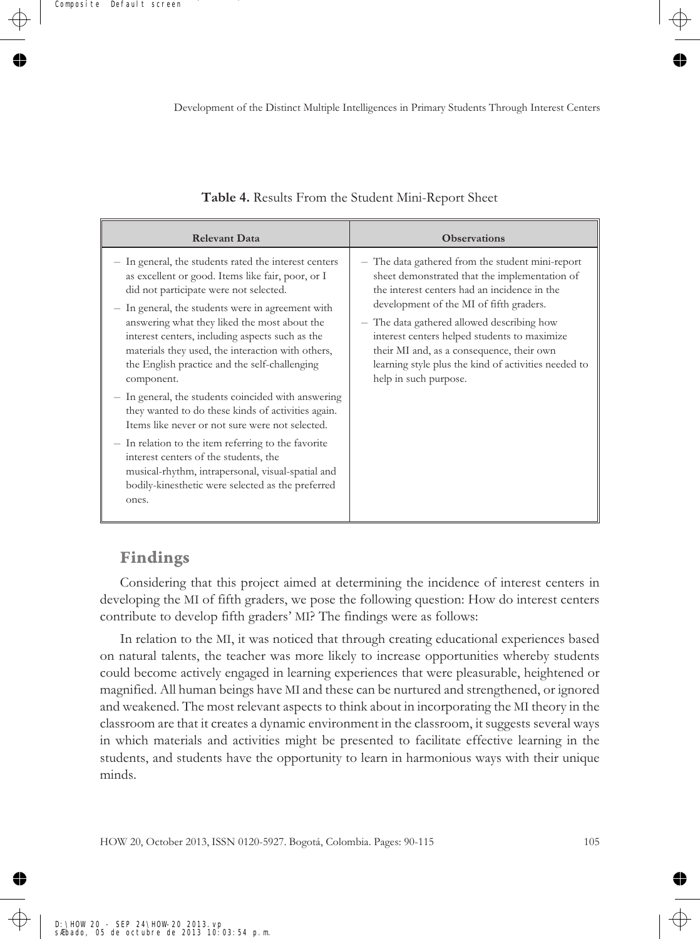| <b>Relevant Data</b>                                                                                                                                                                                                                                                                                                                                                                                                         | <b>Observations</b>                                                                                                                                                                                                                                                                                                                                                                                                      |
|------------------------------------------------------------------------------------------------------------------------------------------------------------------------------------------------------------------------------------------------------------------------------------------------------------------------------------------------------------------------------------------------------------------------------|--------------------------------------------------------------------------------------------------------------------------------------------------------------------------------------------------------------------------------------------------------------------------------------------------------------------------------------------------------------------------------------------------------------------------|
| In general, the students rated the interest centers<br>as excellent or good. Items like fair, poor, or I<br>did not participate were not selected.<br>In general, the students were in agreement with<br>answering what they liked the most about the<br>interest centers, including aspects such as the<br>materials they used, the interaction with others,<br>the English practice and the self-challenging<br>component. | - The data gathered from the student mini-report<br>sheet demonstrated that the implementation of<br>the interest centers had an incidence in the<br>development of the MI of fifth graders.<br>- The data gathered allowed describing how<br>interest centers helped students to maximize<br>their MI and, as a consequence, their own<br>learning style plus the kind of activities needed to<br>help in such purpose. |
| In general, the students coincided with answering<br>they wanted to do these kinds of activities again.<br>Items like never or not sure were not selected.                                                                                                                                                                                                                                                                   |                                                                                                                                                                                                                                                                                                                                                                                                                          |
| In relation to the item referring to the favorite<br>interest centers of the students, the<br>musical-rhythm, intrapersonal, visual-spatial and<br>bodily-kinesthetic were selected as the preferred<br>ones.                                                                                                                                                                                                                |                                                                                                                                                                                                                                                                                                                                                                                                                          |

#### **Table 4.** Results From the Student Mini-Report Sheet

## **Findings**

Considering that this project aimed at determining the incidence of interest centers in developing the MI of fifth graders, we pose the following question: How do interest centers contribute to develop fifth graders' MI? The findings were as follows:

In relation to the MI, it was noticed that through creating educational experiences based on natural talents, the teacher was more likely to increase opportunities whereby students could become actively engaged in learning experiences that were pleasurable, heightened or magnified. All human beings have MI and these can be nurtured and strengthened, or ignored and weakened. The most relevant aspects to think about in incorporating the MI theory in the classroom are that it creates a dynamic environment in the classroom, it suggests several ways in which materials and activities might be presented to facilitate effective learning in the students, and students have the opportunity to learn in harmonious ways with their unique minds.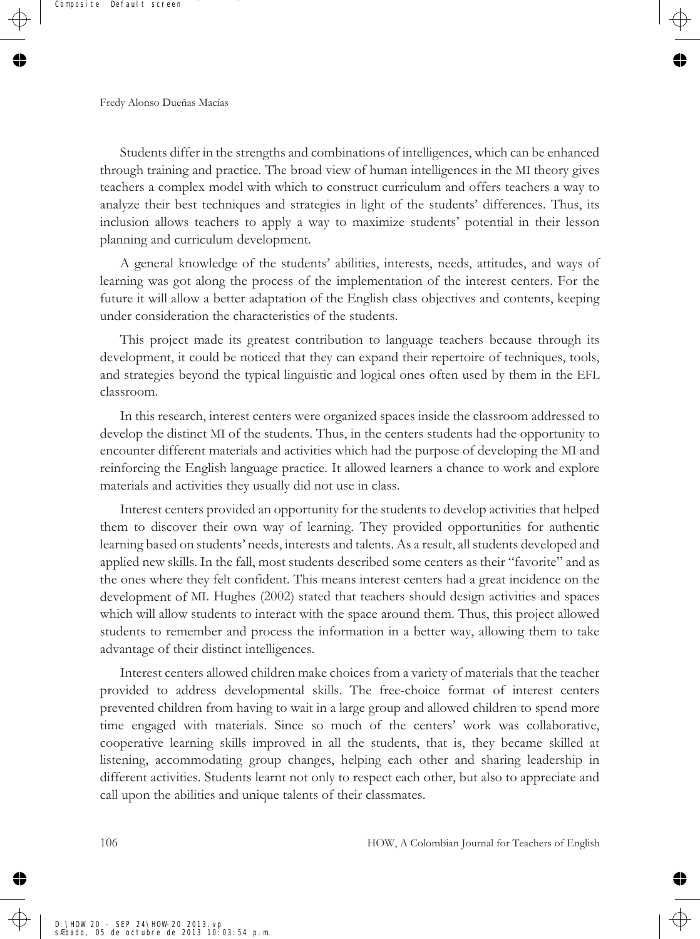Students differ in the strengths and combinations of intelligences, which can be enhanced through training and practice. The broad view of human intelligences in the MI theory gives teachers a complex model with which to construct curriculum and offers teachers a way to analyze their best techniques and strategies in light of the students' differences. Thus, its inclusion allows teachers to apply a way to maximize students' potential in their lesson planning and curriculum development.

A general knowledge of the students' abilities, interests, needs, attitudes, and ways of learning was got along the process of the implementation of the interest centers. For the future it will allow a better adaptation of the English class objectives and contents, keeping under consideration the characteristics of the students.

This project made its greatest contribution to language teachers because through its development, it could be noticed that they can expand their repertoire of techniques, tools, and strategies beyond the typical linguistic and logical ones often used by them in the EFL classroom.

In this research, interest centers were organized spaces inside the classroom addressed to develop the distinct MI of the students. Thus, in the centers students had the opportunity to encounter different materials and activities which had the purpose of developing the MI and reinforcing the English language practice. It allowed learners a chance to work and explore materials and activities they usually did not use in class.

Interest centers provided an opportunity for the students to develop activities that helped them to discover their own way of learning. They provided opportunities for authentic learning based on students' needs, interests and talents. As a result, all students developed and applied new skills. In the fall, most students described some centers as their "favorite" and as the ones where they felt confident. This means interest centers had a great incidence on the development of MI. Hughes (2002) stated that teachers should design activities and spaces which will allow students to interact with the space around them. Thus, this project allowed students to remember and process the information in a better way, allowing them to take advantage of their distinct intelligences.

Interest centers allowed children make choices from a variety of materials that the teacher provided to address developmental skills. The free-choice format of interest centers prevented children from having to wait in a large group and allowed children to spend more time engaged with materials. Since so much of the centers' work was collaborative, cooperative learning skills improved in all the students, that is, they became skilled at listening, accommodating group changes, helping each other and sharing leadership in different activities. Students learnt not only to respect each other, but also to appreciate and call upon the abilities and unique talents of their classmates.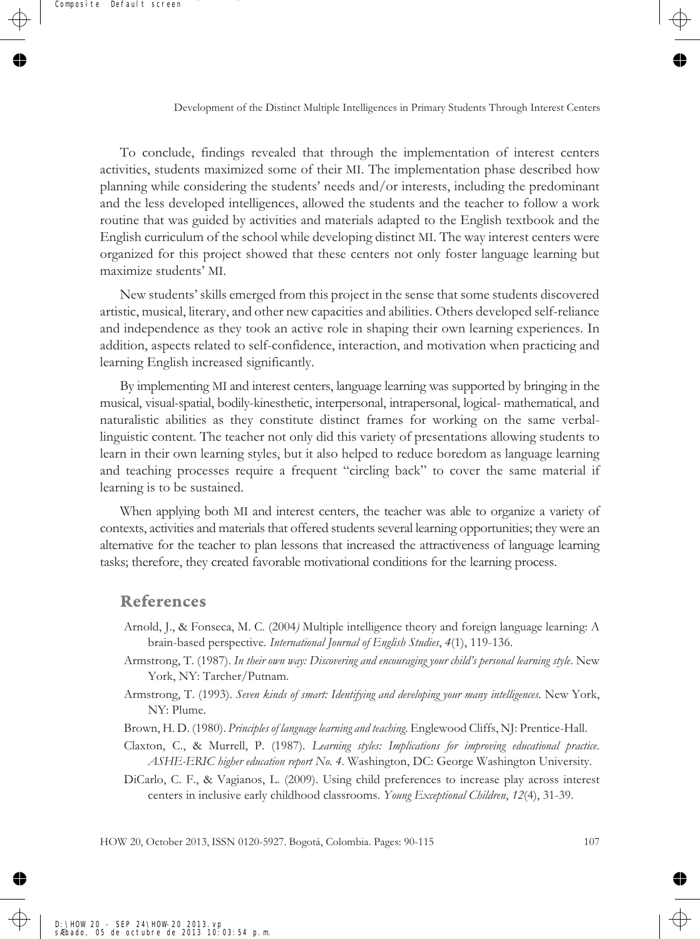To conclude, findings revealed that through the implementation of interest centers activities, students maximized some of their MI. The implementation phase described how planning while considering the students' needs and/or interests, including the predominant and the less developed intelligences, allowed the students and the teacher to follow a work routine that was guided by activities and materials adapted to the English textbook and the English curriculum of the school while developing distinct MI. The way interest centers were organized for this project showed that these centers not only foster language learning but maximize students' MI.

New students' skills emerged from this project in the sense that some students discovered artistic, musical, literary, and other new capacities and abilities. Others developed self-reliance and independence as they took an active role in shaping their own learning experiences. In addition, aspects related to self-confidence, interaction, and motivation when practicing and learning English increased significantly.

By implementing MI and interest centers, language learning was supported by bringing in the musical, visual-spatial, bodily-kinesthetic, interpersonal, intrapersonal, logical- mathematical, and naturalistic abilities as they constitute distinct frames for working on the same verballinguistic content. The teacher not only did this variety of presentations allowing students to learn in their own learning styles, but it also helped to reduce boredom as language learning and teaching processes require a frequent "circling back" to cover the same material if learning is to be sustained.

When applying both MI and interest centers, the teacher was able to organize a variety of contexts, activities and materials that offered students several learning opportunities; they were an alternative for the teacher to plan lessons that increased the attractiveness of language learning tasks; therefore, they created favorable motivational conditions for the learning process.

#### **References**

- Arnold, J., & Fonseca, M. C. (2004*)* Multiple intelligence theory and foreign language learning: A brain-based perspective*. International Journal of English Studies*, *4*(1), 119-136.
- Armstrong, T. (1987). *In their own way: Discovering and encouraging your child's personal learning style*. New York, NY: Tarcher/Putnam.
- Armstrong, T. (1993). *Seven kinds of smart: Identifying and developing your many intelligences.* New York, NY: Plume.
- Brown, H. D. (1980). *Principles of language learning and teaching*. Englewood Cliffs, NJ: Prentice-Hall.
- Claxton, C., & Murrell, P. (1987). *Learning styles: Implications for improving educational practice*. *ASHE-ERIC higher education report No. 4*. Washington, DC: George Washington University.

DiCarlo, C. F., & Vagianos, L. (2009). Using child preferences to increase play across interest centers in inclusive early childhood classrooms. *Young Exceptional Children*, *12*(4), 31-39.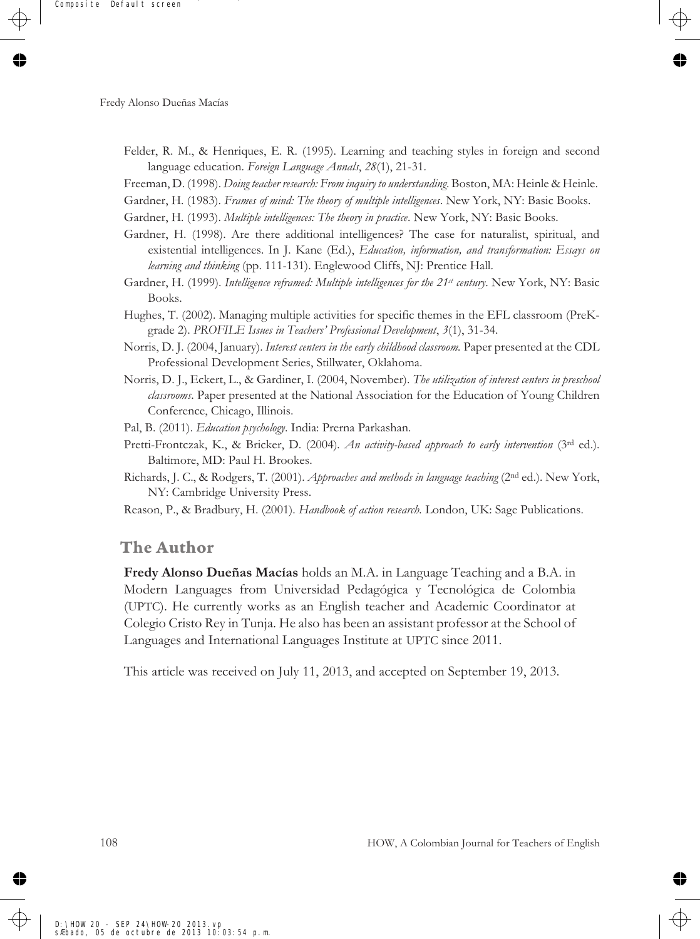- Felder, R. M., & Henriques, E. R. (1995). Learning and teaching styles in foreign and second language education. *Foreign Language Annals*, *28*(1), 21-31.
- Freeman, D. (1998). *Doing teacher research: From inquiry to understanding*. Boston, MA: Heinle & Heinle.
- Gardner, H. (1983). *Frames of mind: The theory of multiple intelligences*. New York, NY: Basic Books.
- Gardner, H. (1993). *Multiple intelligences: The theory in practice*. New York, NY: Basic Books.
- Gardner, H. (1998). Are there additional intelligences? The case for naturalist, spiritual, and existential intelligences. In J. Kane (Ed.), *Education, information, and transformation: Essays on learning and thinking* (pp. 111-131). Englewood Cliffs, NJ: Prentice Hall.
- Gardner, H. (1999). *Intelligence reframed: Multiple intelligences for the 21st century*. New York, NY: Basic Books.
- Hughes, T. (2002). Managing multiple activities for specific themes in the EFL classroom (PreKgrade 2). *PROFILE Issues in Teachers' Professional Development*, *3*(1), 31-34.
- Norris, D. J. (2004, January). *Interest centers in the early childhood classroom.* Paper presented at the CDL Professional Development Series, Stillwater, Oklahoma.
- Norris, D. J., Eckert, L., & Gardiner, I. (2004, November). *The utilization of interest centers in preschool classrooms*. Paper presented at the National Association for the Education of Young Children Conference, Chicago, Illinois.
- Pal, B. (2011). *Education psychology*. India: Prerna Parkashan.
- Pretti-Frontczak, K., & Bricker, D. (2004)*. An activity-based approach to early intervention* (3rd ed.). Baltimore, MD: Paul H. Brookes.
- Richards, J. C., & Rodgers, T. (2001). *Approaches and methods in language teaching* (2nd ed.). New York, NY: Cambridge University Press.
- Reason, P., & Bradbury, H. (2001). *Handbook of action research.* London, UK: Sage Publications.

#### **The Author**

**Fredy Alonso Dueñas Macías** holds an M.A. in Language Teaching and a B.A. in Modern Languages from Universidad Pedagógica y Tecnológica de Colombia (UPTC). He currently works as an English teacher and Academic Coordinator at Colegio Cristo Rey in Tunja. He also has been an assistant professor at the School of Languages and International Languages Institute at UPTC since 2011.

This article was received on July 11, 2013, and accepted on September 19, 2013.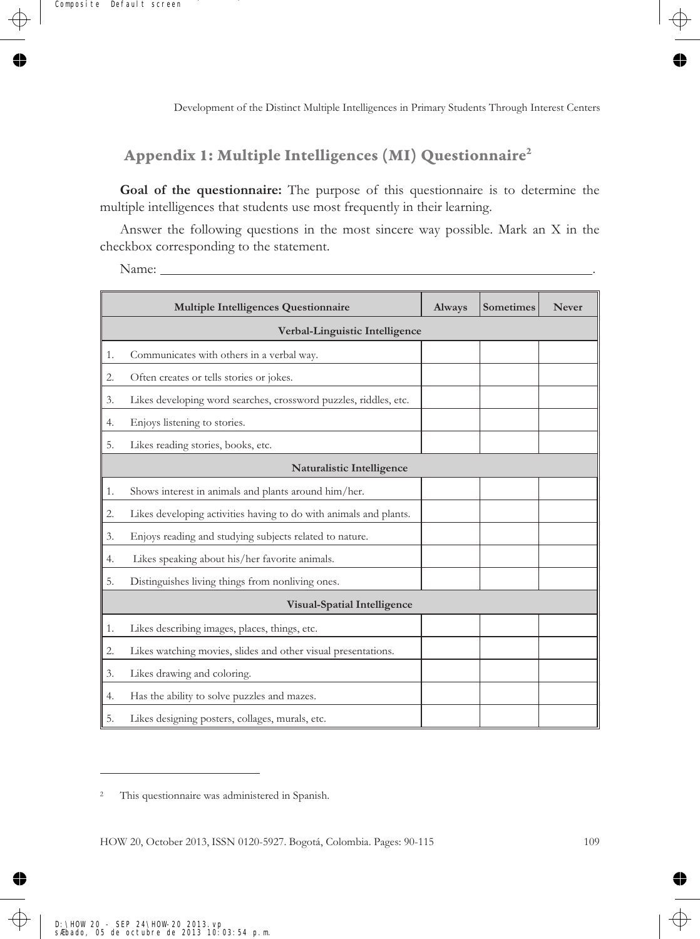## **Appendix 1: Multiple Intelligences (MI) Questionnaire2**

**Goal of the questionnaire:** The purpose of this questionnaire is to determine the multiple intelligences that students use most frequently in their learning.

Answer the following questions in the most sincere way possible. Mark an X in the checkbox corresponding to the statement.

Name: .

|    | Multiple Intelligences Questionnaire                              | Always | Sometimes | <b>Never</b> |
|----|-------------------------------------------------------------------|--------|-----------|--------------|
|    | Verbal-Linguistic Intelligence                                    |        |           |              |
| 1. | Communicates with others in a verbal way.                         |        |           |              |
| 2. | Often creates or tells stories or jokes.                          |        |           |              |
| 3. | Likes developing word searches, crossword puzzles, riddles, etc.  |        |           |              |
| 4. | Enjoys listening to stories.                                      |        |           |              |
| 5. | Likes reading stories, books, etc.                                |        |           |              |
|    | Naturalistic Intelligence                                         |        |           |              |
| 1. | Shows interest in animals and plants around him/her.              |        |           |              |
| 2. | Likes developing activities having to do with animals and plants. |        |           |              |
| 3. | Enjoys reading and studying subjects related to nature.           |        |           |              |
| 4. | Likes speaking about his/her favorite animals.                    |        |           |              |
| 5. | Distinguishes living things from nonliving ones.                  |        |           |              |
|    | <b>Visual-Spatial Intelligence</b>                                |        |           |              |
| 1. | Likes describing images, places, things, etc.                     |        |           |              |
| 2. | Likes watching movies, slides and other visual presentations.     |        |           |              |
| 3. | Likes drawing and coloring.                                       |        |           |              |
| 4. | Has the ability to solve puzzles and mazes.                       |        |           |              |
| 5. | Likes designing posters, collages, murals, etc.                   |        |           |              |

<sup>2</sup> This questionnaire was administered in Spanish.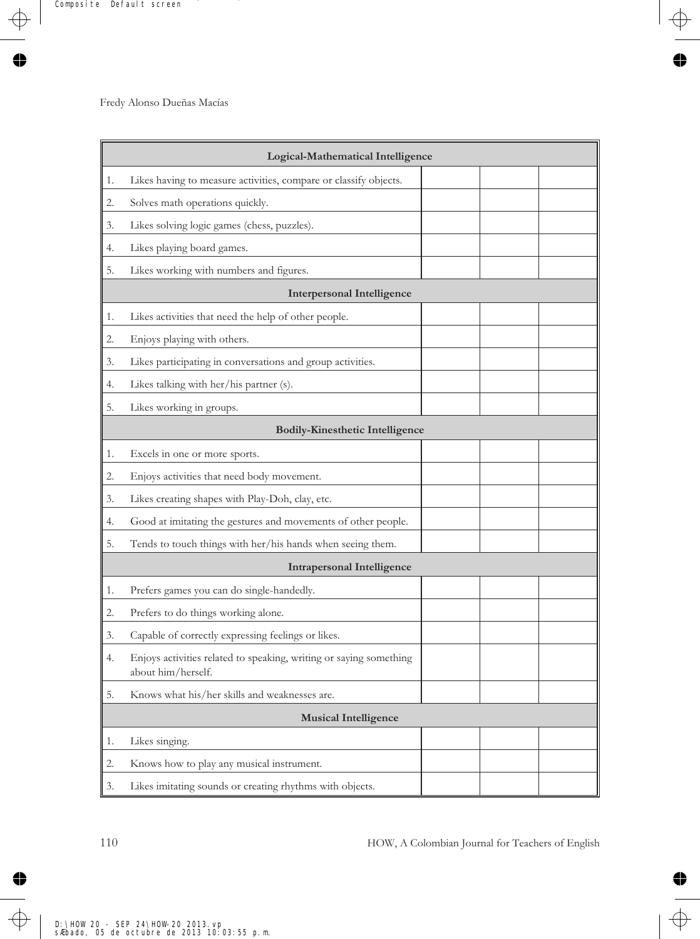|    | Logical-Mathematical Intelligence                                                        |  |  |  |
|----|------------------------------------------------------------------------------------------|--|--|--|
| 1. | Likes having to measure activities, compare or classify objects.                         |  |  |  |
| 2. | Solves math operations quickly.                                                          |  |  |  |
| 3. | Likes solving logic games (chess, puzzles).                                              |  |  |  |
| 4. | Likes playing board games.                                                               |  |  |  |
| 5. | Likes working with numbers and figures.                                                  |  |  |  |
|    | <b>Interpersonal Intelligence</b>                                                        |  |  |  |
| 1. | Likes activities that need the help of other people.                                     |  |  |  |
| 2. | Enjoys playing with others.                                                              |  |  |  |
| 3. | Likes participating in conversations and group activities.                               |  |  |  |
| 4. | Likes talking with her/his partner (s).                                                  |  |  |  |
| 5. | Likes working in groups.                                                                 |  |  |  |
|    | <b>Bodily-Kinesthetic Intelligence</b>                                                   |  |  |  |
| 1. | Excels in one or more sports.                                                            |  |  |  |
| 2. | Enjoys activities that need body movement.                                               |  |  |  |
| 3. | Likes creating shapes with Play-Doh, clay, etc.                                          |  |  |  |
| 4. | Good at imitating the gestures and movements of other people.                            |  |  |  |
| 5. | Tends to touch things with her/his hands when seeing them.                               |  |  |  |
|    | <b>Intrapersonal Intelligence</b>                                                        |  |  |  |
| 1. | Prefers games you can do single-handedly.                                                |  |  |  |
| 2. | Prefers to do things working alone.                                                      |  |  |  |
| 3. | Capable of correctly expressing feelings or likes.                                       |  |  |  |
| 4. | Enjoys activities related to speaking, writing or saying something<br>about him/herself. |  |  |  |
| 5. | Knows what his/her skills and weaknesses are.                                            |  |  |  |
|    | <b>Musical Intelligence</b>                                                              |  |  |  |
| 1. | Likes singing.                                                                           |  |  |  |
| 2. | Knows how to play any musical instrument.                                                |  |  |  |
| 3. | Likes imitating sounds or creating rhythms with objects.                                 |  |  |  |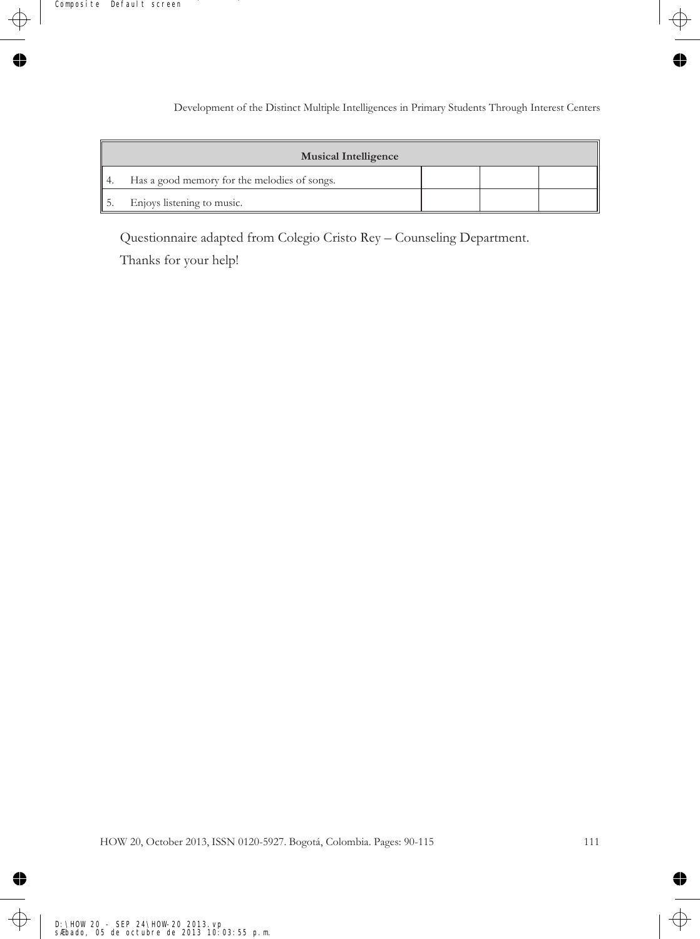|       | <b>Musical Intelligence</b>                  |  |  |
|-------|----------------------------------------------|--|--|
| ll 4. | Has a good memory for the melodies of songs. |  |  |
|       | Enjoys listening to music.                   |  |  |

Questionnaire adapted from Colegio Cristo Rey – Counseling Department.

Thanks for your help!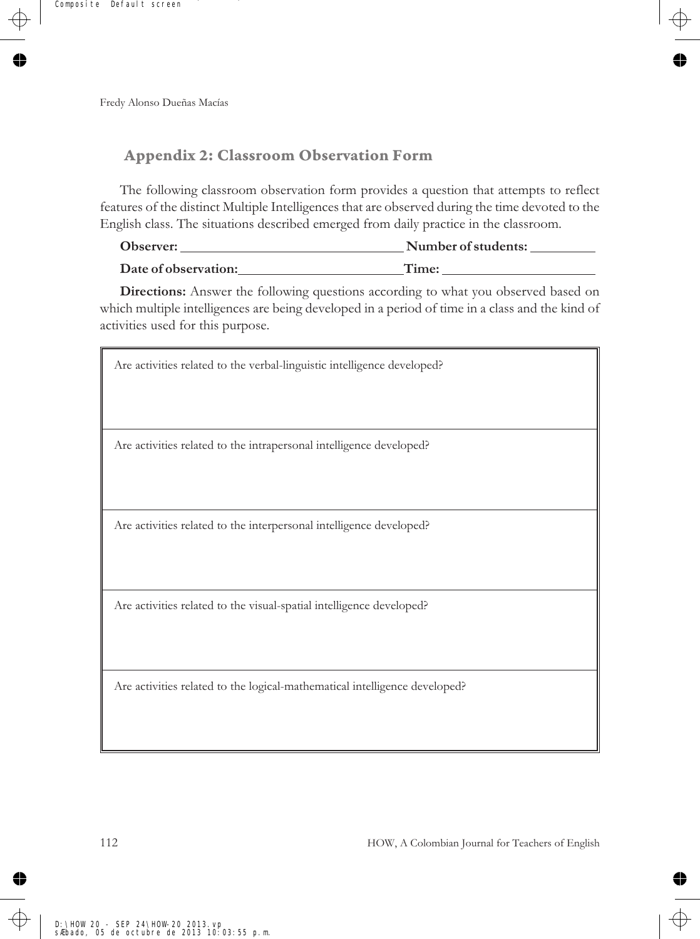## **Appendix 2: Classroom Observation Form**

The following classroom observation form provides a question that attempts to reflect features of the distinct Multiple Intelligences that are observed during the time devoted to the English class. The situations described emerged from daily practice in the classroom.

| Observer:            | Number of students: |
|----------------------|---------------------|
| Date of observation: | Time:               |

**Directions:** Answer the following questions according to what you observed based on which multiple intelligences are being developed in a period of time in a class and the kind of activities used for this purpose.

| Are activities related to the verbal-linguistic intelligence developed?    |
|----------------------------------------------------------------------------|
|                                                                            |
|                                                                            |
| Are activities related to the intrapersonal intelligence developed?        |
|                                                                            |
|                                                                            |
| Are activities related to the interpersonal intelligence developed?        |
|                                                                            |
|                                                                            |
| Are activities related to the visual-spatial intelligence developed?       |
|                                                                            |
|                                                                            |
| Are activities related to the logical-mathematical intelligence developed? |
|                                                                            |
|                                                                            |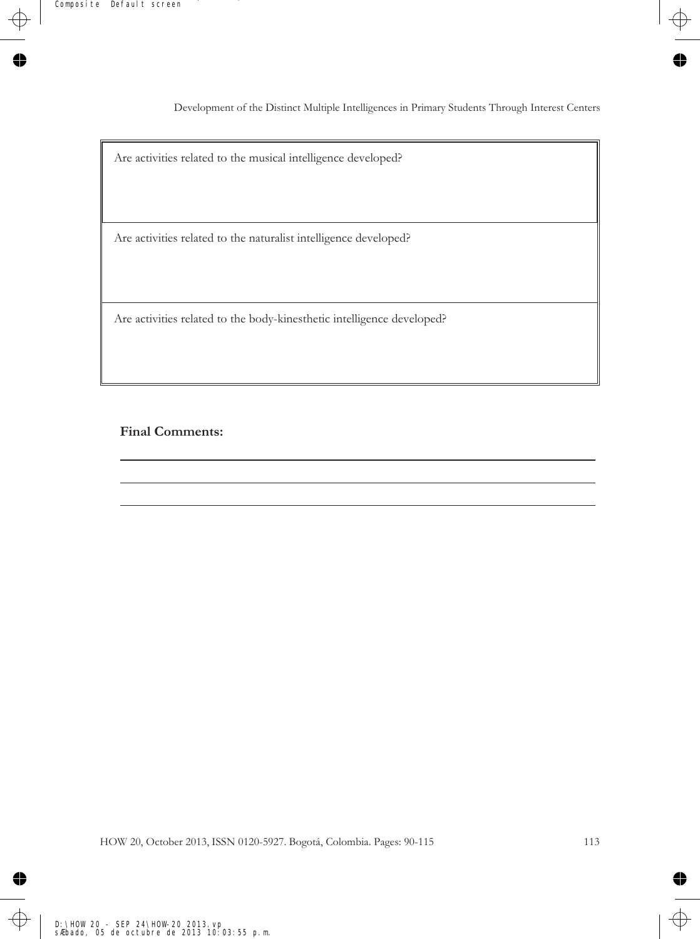Development of the Distinct Multiple Intelligences in Primary Students Through Interest Centers

Are activities related to the musical intelligence developed?

Are activities related to the naturalist intelligence developed?

Are activities related to the body-kinesthetic intelligence developed?

#### **Final Comments:**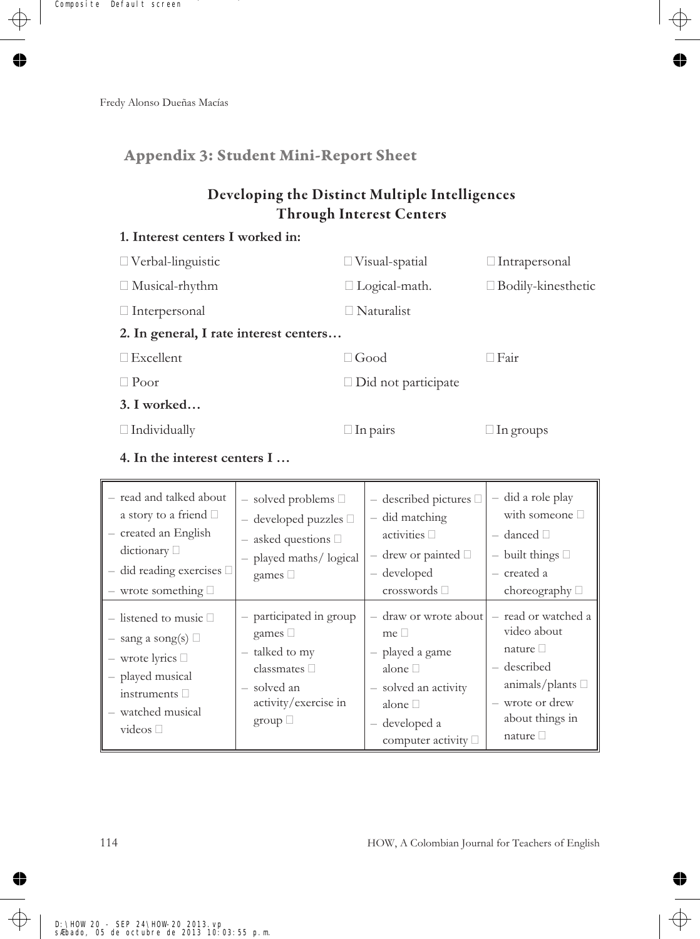## **Appendix 3: Student Mini-Report Sheet**

## **Developing the Distinct Multiple Intelligences Through Interest Centers**

### **1. Interest centers I worked in:**

| $\Box$ Verbal-linguistic               | $\Box$ Visual-spatial      | $\Box$ Intrapersonal      |
|----------------------------------------|----------------------------|---------------------------|
| $\Box$ Musical-rhythm                  | $\Box$ Logical-math.       | $\Box$ Bodily-kinesthetic |
| $\Box$ Interpersonal                   | $\Box$ Naturalist          |                           |
| 2. In general, I rate interest centers |                            |                           |
| $\Box$ Excellent                       | $\Box$ Good                | $\Box$ Fair               |
| $\Box$ Poor                            | $\Box$ Did not participate |                           |
| $3. I$ worked                          |                            |                           |
| $\Box$ Individually                    | $\Box$ In pairs            | $\Box$ In groups          |
|                                        |                            |                           |

**4. In the interest centers I …**

| - read and talked about<br>a story to a friend $\Box$<br>- created an English<br>dictionary $\Box$<br>$-$ did reading exercises $\Box$<br>$-$ wrote something $\Box$       | $-$ solved problems $\Box$<br>$-$ developed puzzles $\Box$<br>$-$ asked questions $\Box$<br>- played maths/ logical<br>games $\square$   | $-$ described pictures $\Box$<br>- did matching<br>activities $\Box$<br>$-$ drew or painted $\Box$<br>- developed<br>crosswords $\square$                  | - did a role play<br>with someone $\square$<br>$-$ danced $\Box$<br>$-$ built things $\Box$<br>– created a<br>choreography $\Box$                        |
|----------------------------------------------------------------------------------------------------------------------------------------------------------------------------|------------------------------------------------------------------------------------------------------------------------------------------|------------------------------------------------------------------------------------------------------------------------------------------------------------|----------------------------------------------------------------------------------------------------------------------------------------------------------|
| $-$ listened to music $\Box$<br>$-$ sang a song(s) $\Box$<br>$-$ wrote lyrics $\Box$<br>- played musical<br>instruments $\square$<br>- watched musical<br>videos $\square$ | - participated in group<br>games $\Box$<br>- talked to my<br>classmates $\square$<br>- solved an<br>activity/exercise in<br>group $\Box$ | - draw or wrote about<br>$me \Box$<br>- played a game<br>alone $\Box$<br>- solved an activity<br>alone $\Box$<br>- developed a<br>computer activity $\Box$ | - read or watched a<br>video about<br>nature $\square$<br>- described<br>animals/plants $\square$<br>- wrote or drew<br>about things in<br>nature $\Box$ |